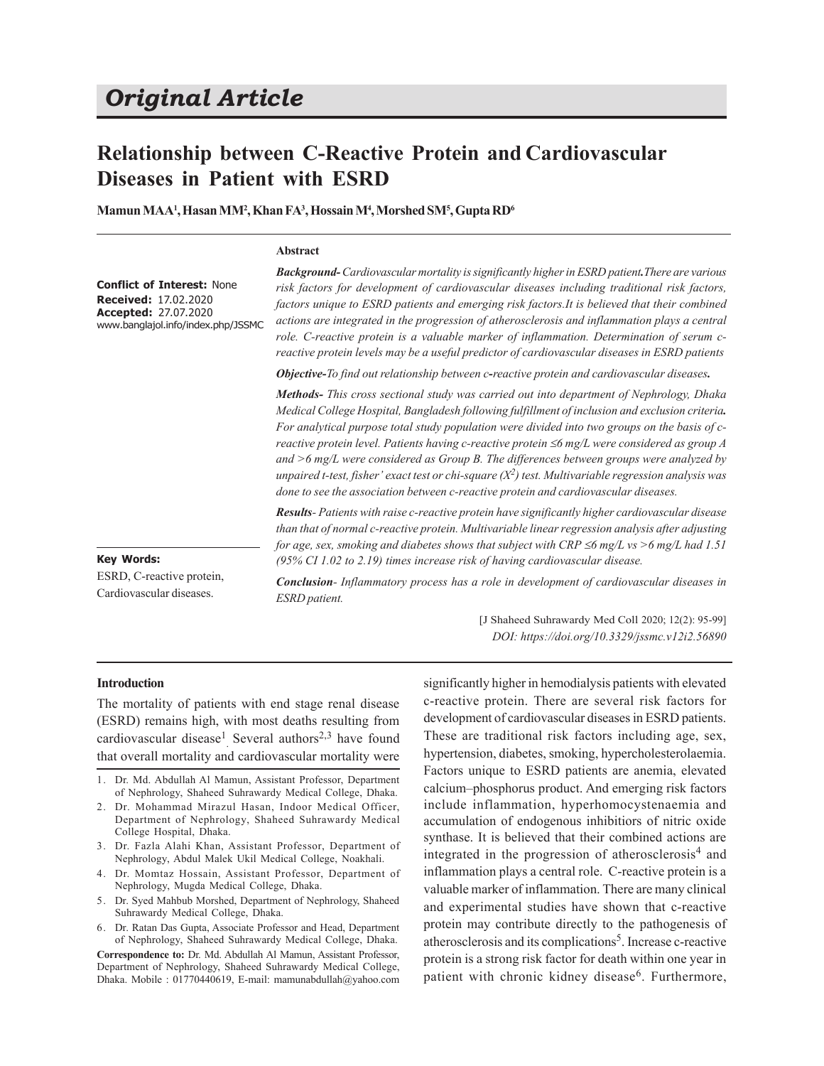# *Original Article*

## **Relationship between C-Reactive Protein and Cardiovascular Diseases in Patient with ESRD**

**Mamun MAA<sup>1</sup> , Hasan MM<sup>2</sup> , Khan FA<sup>3</sup> , Hossain M<sup>4</sup> , Morshed SM<sup>5</sup> , Gupta RD<sup>6</sup>**

#### **Abstract**

**Conflict of Interest:** None **Received:** 17.02.2020 **Accepted:** 27.07.2020 www.banglajol.info/index.php/JSSMC *Background- Cardiovascular mortality is significantly higher in ESRD patient.There are various risk factors for development of cardiovascular diseases including traditional risk factors, factors unique to ESRD patients and emerging risk factors.It is believed that their combined actions are integrated in the progression of atherosclerosis and inflammation plays a central role. C-reactive protein is a valuable marker of inflammation. Determination of serum creactive protein levels may be a useful predictor of cardiovascular diseases in ESRD patients*

*Objective-To find out relationship between c-reactive protein and cardiovascular diseases.*

*Methods- This cross sectional study was carried out into department of Nephrology, Dhaka Medical College Hospital, Bangladesh following fulfillment of inclusion and exclusion criteria. For analytical purpose total study population were divided into two groups on the basis of creactive protein level. Patients having c-reactive protein* ≤6 mg/L were considered as group A *and >6 mg/L were considered as Group B. The differences between groups were analyzed by unpaired t-test, fisher' exact test or chi-square (X<sup>2</sup> ) test. Multivariable regression analysis was done to see the association between c-reactive protein and cardiovascular diseases.*

*Results- Patients with raise c-reactive protein have significantly higher cardiovascular disease than that of normal c-reactive protein. Multivariable linear regression analysis after adjusting for age, sex, smoking and diabetes shows that subject with CRP*  $\leq$ *6 mg/L vs >6 mg/L had 1.51 (95% CI 1.02 to 2.19) times increase risk of having cardiovascular disease.*

#### **Key Words:**

ESRD, C-reactive protein, Cardiovascular diseases.

*Conclusion- Inflammatory process has a role in development of cardiovascular diseases in ESRD patient.*

> [J Shaheed Suhrawardy Med Coll 2020; 12(2): 95-99] *DOI: https://doi.org/10.3329/jssmc.v12i2.56890*

#### **Introduction**

The mortality of patients with end stage renal disease (ESRD) remains high, with most deaths resulting from cardiovascular disease<sup>1</sup> Several authors<sup>2,3</sup> have found that overall mortality and cardiovascular mortality were

- 3. Dr. Fazla Alahi Khan, Assistant Professor, Department of Nephrology, Abdul Malek Ukil Medical College, Noakhali.
- 4. Dr. Momtaz Hossain, Assistant Professor, Department of Nephrology, Mugda Medical College, Dhaka.
- 5. Dr. Syed Mahbub Morshed, Department of Nephrology, Shaheed Suhrawardy Medical College, Dhaka.
- 6. Dr. Ratan Das Gupta, Associate Professor and Head, Department of Nephrology, Shaheed Suhrawardy Medical College, Dhaka.

**Correspondence to:** Dr. Md. Abdullah Al Mamun, Assistant Professor, Department of Nephrology, Shaheed Suhrawardy Medical College, Dhaka. Mobile : 01770440619, E-mail: mamunabdullah@yahoo.com significantly higher in hemodialysis patients with elevated c-reactive protein. There are several risk factors for development of cardiovascular diseases in ESRD patients. These are traditional risk factors including age, sex, hypertension, diabetes, smoking, hypercholesterolaemia. Factors unique to ESRD patients are anemia, elevated calcium–phosphorus product. And emerging risk factors include inflammation, hyperhomocystenaemia and accumulation of endogenous inhibitiors of nitric oxide synthase. It is believed that their combined actions are integrated in the progression of atherosclerosis<sup>4</sup> and inflammation plays a central role. C-reactive protein is a valuable marker of inflammation. There are many clinical and experimental studies have shown that c-reactive protein may contribute directly to the pathogenesis of atherosclerosis and its complications<sup>5</sup>. Increase c-reactive protein is a strong risk factor for death within one year in patient with chronic kidney disease<sup>6</sup>. Furthermore,

<sup>1.</sup> Dr. Md. Abdullah Al Mamun, Assistant Professor, Department of Nephrology, Shaheed Suhrawardy Medical College, Dhaka.

<sup>2.</sup> Dr. Mohammad Mirazul Hasan, Indoor Medical Officer, Department of Nephrology, Shaheed Suhrawardy Medical College Hospital, Dhaka.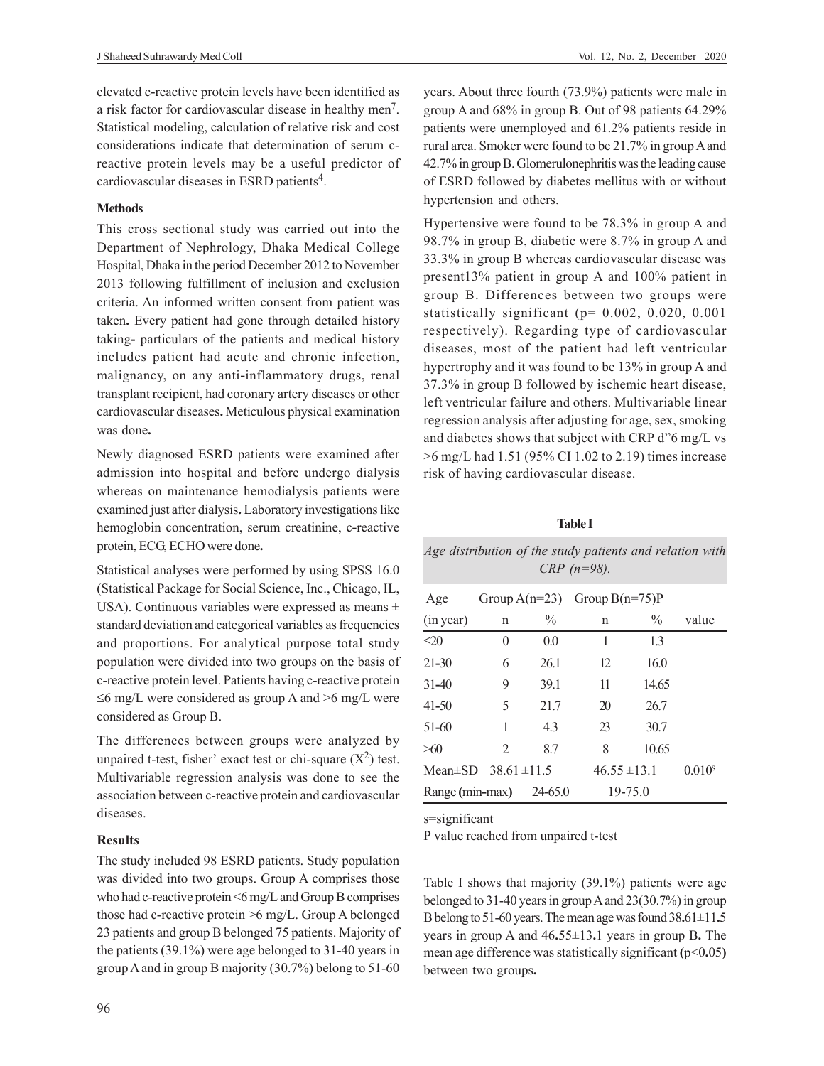elevated c-reactive protein levels have been identified as a risk factor for cardiovascular disease in healthy men<sup>7</sup>. Statistical modeling, calculation of relative risk and cost considerations indicate that determination of serum creactive protein levels may be a useful predictor of cardiovascular diseases in ESRD patients<sup>4</sup>.

## **Methods**

This cross sectional study was carried out into the Department of Nephrology, Dhaka Medical College Hospital, Dhaka in the period December 2012 to November 2013 following fulfillment of inclusion and exclusion criteria. An informed written consent from patient was taken**.** Every patient had gone through detailed history taking**-** particulars of the patients and medical history includes patient had acute and chronic infection, malignancy, on any anti**-**inflammatory drugs, renal transplant recipient, had coronary artery diseases or other cardiovascular diseases**.** Meticulous physical examination was done**.**

Newly diagnosed ESRD patients were examined after admission into hospital and before undergo dialysis whereas on maintenance hemodialysis patients were examined just after dialysis**.** Laboratory investigations like hemoglobin concentration, serum creatinine, c**-**reactive protein, ECG, ECHO were done**.**

Statistical analyses were performed by using SPSS 16.0 (Statistical Package for Social Science, Inc., Chicago, IL, USA). Continuous variables were expressed as means ± standard deviation and categorical variables as frequencies and proportions. For analytical purpose total study population were divided into two groups on the basis of c-reactive protein level. Patients having c-reactive protein  $\leq$ 6 mg/L were considered as group A and  $>$ 6 mg/L were considered as Group B.

The differences between groups were analyzed by unpaired t-test, fisher' exact test or chi-square  $(X^2)$  test. Multivariable regression analysis was done to see the association between c-reactive protein and cardiovascular diseases.

## **Results**

The study included 98 ESRD patients. Study population was divided into two groups. Group A comprises those who had c-reactive protein <6 mg/L and Group B comprises those had c-reactive protein >6 mg/L. Group A belonged 23 patients and group B belonged 75 patients. Majority of the patients (39.1%) were age belonged to 31-40 years in group A and in group B majority (30.7%) belong to 51-60

years. About three fourth (73.9%) patients were male in group A and 68% in group B. Out of 98 patients 64.29% patients were unemployed and 61.2% patients reside in rural area. Smoker were found to be 21.7% in group A and 42.7% in group B. Glomerulonephritis was the leading cause of ESRD followed by diabetes mellitus with or without hypertension and others.

Hypertensive were found to be 78.3% in group A and 98.7% in group B, diabetic were 8.7% in group A and 33.3% in group B whereas cardiovascular disease was present13% patient in group A and 100% patient in group B. Differences between two groups were statistically significant (p= 0.002, 0.020, 0.001 respectively). Regarding type of cardiovascular diseases, most of the patient had left ventricular hypertrophy and it was found to be 13% in group A and 37.3% in group B followed by ischemic heart disease, left ventricular failure and others. Multivariable linear regression analysis after adjusting for age, sex, smoking and diabetes shows that subject with CRP d"6 mg/L vs >6 mg/L had 1.51 (95% CI 1.02 to 2.19) times increase risk of having cardiovascular disease.

## **Table I**

|                                |                |      | Age distribution of the study patients and relation with<br>$CRP (n=98)$ . |               |                    |
|--------------------------------|----------------|------|----------------------------------------------------------------------------|---------------|--------------------|
| Age                            |                |      | Group $A(n=23)$ Group $B(n=75)P$                                           |               |                    |
| (in year)                      | n              | $\%$ | n                                                                          | $\frac{0}{0}$ | value              |
| $\leq 20$                      | $\overline{0}$ | 0.0  | 1                                                                          | 1.3           |                    |
| $21 - 30$                      | 6              | 26.1 | 12                                                                         | 16.0          |                    |
| $31-40$                        | 9              | 39.1 | 11                                                                         | 14.65         |                    |
| $41 - 50$                      | 5              | 21.7 | 20                                                                         | 26.7          |                    |
| $51 - 60$                      | 1              | 4.3  | 23                                                                         | 30.7          |                    |
| >60                            | $\mathfrak{D}$ | 8.7  | 8                                                                          | 10.65         |                    |
| Mean $\pm$ SD 38.61 $\pm$ 11.5 |                |      | $46.55 \pm 13.1$                                                           |               | 0.010 <sup>s</sup> |
| Range (min-max) 24-65.0        |                |      | $19 - 75.0$                                                                |               |                    |

s=significant

P value reached from unpaired t-test

Table I shows that majority (39.1%) patients were age belonged to 31-40 years in group A and 23(30.7%) in group B belong to 51-60 years. The mean age was found 38**.**61±11**.**5 years in group A and 46**.**55±13**.**1 years in group B**.** The mean age difference was statistically significant ( $p$ <0.05) between two groups**.**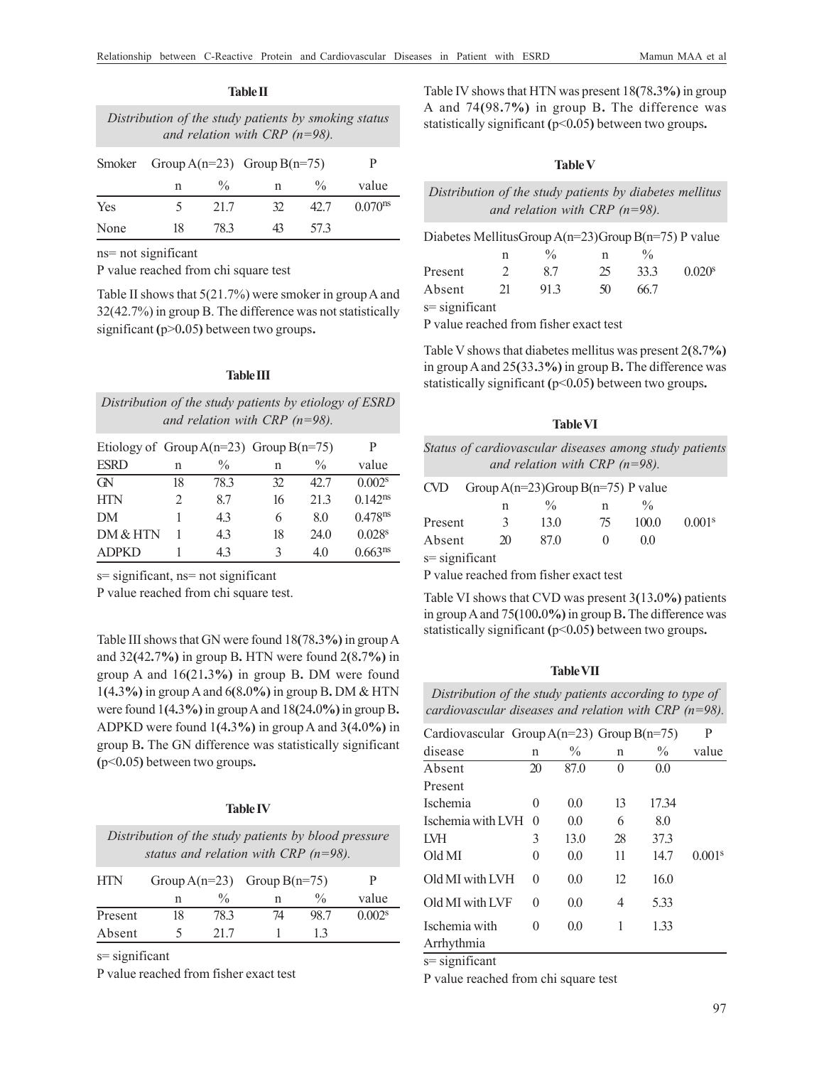| Distribution of the study patients by smoking status<br>and relation with CRP $(n=98)$ . |    |               |                             |               |                     |  |
|------------------------------------------------------------------------------------------|----|---------------|-----------------------------|---------------|---------------------|--|
| Smoker                                                                                   |    |               | Group A(n=23) Group B(n=75) |               | P                   |  |
|                                                                                          | n  | $\frac{0}{0}$ | n                           | $\frac{0}{0}$ | value               |  |
| Yes                                                                                      |    | 21.7          | 32                          | 42.7          | 0.070 <sup>ns</sup> |  |
| None                                                                                     | 18 | 78 3          |                             | 573           |                     |  |

**Table II**

ns= not significant

P value reached from chi square test

Table II shows that 5(21.7%) were smoker in group A and 32(42.7%) in group B. The difference was not statistically significant **(**p>0**.**05**)** between two groups**.**

#### **Table III**

| Distribution of the study patients by etiology of ESRD |  |
|--------------------------------------------------------|--|
| and relation with CRP $(n=98)$ .                       |  |

| Etiology of Group $A(n=23)$ Group $B(n=75)$ |    |               |    |               |                       |
|---------------------------------------------|----|---------------|----|---------------|-----------------------|
| <b>ESRD</b>                                 | n  | $\frac{0}{0}$ | n  | $\frac{0}{0}$ | value                 |
| $\alpha$                                    | 18 | 78.3          | 32 | 42.7          | 0.002 <sup>s</sup>    |
| <b>HTN</b>                                  | 2  | 8.7           | 16 | 21.3          | $0.142$ <sup>ns</sup> |
| <b>DM</b>                                   |    | 4.3           | 6  | 8.0           | $0.478$ <sup>ns</sup> |
| DM & HTN                                    |    | 4.3           | 18 | 24.0          | 0.028 <sup>s</sup>    |
| <b>ADPKD</b>                                |    | 43            | ζ  | 4.0           | 0.663 <sup>ns</sup>   |

s= significant, ns= not significant

P value reached from chi square test.

Table III shows that GN were found 18**(**78**.**3**%)** in group A and 32**(**42**.**7**%)** in group B**.** HTN were found 2**(**8**.**7**%)** in group A and 16**(**21**.**3**%)** in group B**.** DM were found 1**(**4**.**3**%)** in group A and 6**(**8**.**0**%)** in group B**.** DM & HTN were found 1**(**4**.**3**%)** in group A and 18**(**24**.**0**%)** in group B**.** ADPKD were found 1**(**4**.**3**%)** in group A and 3**(**4**.**0**%)** in group B**.** The GN difference was statistically significant **(**p<0**.**05**)** between two groups**.**

## **Table IV**

| Distribution of the study patients by blood pressure<br>status and relation with CRP $(n=98)$ . |    |               |                                 |               |                    |  |
|-------------------------------------------------------------------------------------------------|----|---------------|---------------------------------|---------------|--------------------|--|
| <b>HTN</b>                                                                                      |    |               | Group $A(n=23)$ Group $B(n=75)$ |               | P                  |  |
|                                                                                                 | n  | $\frac{0}{0}$ |                                 | $\frac{0}{0}$ | value              |  |
| Present                                                                                         | 18 | 78.3          | 74                              | 98.7          | 0.002 <sup>s</sup> |  |
| Absent                                                                                          |    | 21.7          |                                 | 13            |                    |  |

s= significant

P value reached from fisher exact test

Table IV shows that HTN was present 18**(**78**.**3**%)** in group A and 74**(**98**.**7**%)** in group B**.** The difference was statistically significant **(**p<0**.**05**)** between two groups**.**

## **Table V**

*Distribution of the study patients by diabetes mellitus and relation with CRP (n=98).*

| Diabetes MellitusGroup $A(n=23)$ Group $B(n=75)$ P value |               |               |    |               |                    |
|----------------------------------------------------------|---------------|---------------|----|---------------|--------------------|
|                                                          | n             | $\frac{0}{0}$ | n  | $\frac{0}{0}$ |                    |
| Present                                                  | $\mathcal{D}$ | 87            | 25 | 33.3          | 0.020 <sup>s</sup> |
| Absent                                                   | 21            | 91.3          | 50 | 66.7          |                    |
| $s =$ significant                                        |               |               |    |               |                    |

P value reached from fisher exact test

Table V shows that diabetes mellitus was present 2**(**8**.**7**%)** in group A and 25**(**33**.**3**%)** in group B**.** The difference was statistically significant **(**p<0**.**05**)** between two groups**.**

#### **Table VI**

| Status of cardiovascular diseases among study patients |
|--------------------------------------------------------|
| and relation with CRP $(n=98)$ .                       |

| CVD            |                | Group A(n=23)Group B(n=75) P value |        |               |                    |
|----------------|----------------|------------------------------------|--------|---------------|--------------------|
|                | n              | $\frac{0}{0}$                      | n      | $\frac{0}{0}$ |                    |
| Present        | 3              | 13.0                               | 75     | 100.0         | 0.001 <sup>s</sup> |
| Absent         | $\mathfrak{D}$ | 87.0                               | $\cup$ | 0.0           |                    |
| s= significant |                |                                    |        |               |                    |

P value reached from fisher exact test

Table VI shows that CVD was present 3**(**13**.**0**%)** patients in group A and 75**(**100**.**0**%)** in group B**.** The difference was statistically significant **(**p<0**.**05**)** between two groups**.**

#### **Table VII**

| Distribution of the study patients according to type of |  |  |  |
|---------------------------------------------------------|--|--|--|
| cardiovascular diseases and relation with CRP (n=98).   |  |  |  |

| Cardiovascular Group $A(n=23)$ Group $B(n=75)$ |              |      |             |               | P                  |
|------------------------------------------------|--------------|------|-------------|---------------|--------------------|
| disease                                        | $\mathbf n$  | $\%$ | $\mathbf n$ | $\frac{0}{0}$ | value              |
| Absent                                         | 20           | 87.0 | $\theta$    | 0.0           |                    |
| Present                                        |              |      |             |               |                    |
| Ischemia                                       | 0            | 0.0  | 13          | 17.34         |                    |
| Ischemia with LVH                              | $\Omega$     | 0.0  | 6           | 8.0           |                    |
| LVH                                            | 3            | 13.0 | 28          | 37.3          |                    |
| Old MI                                         | 0            | 0.0  | 11          | 14.7          | 0.001 <sup>s</sup> |
| Old MI with LVH                                | $\theta$     | 0.0  | 12          | 16.0          |                    |
| Old MI with LVF                                | $\theta$     | 0.0  | 4           | 5.33          |                    |
| Ischemia with                                  | $\mathbf{0}$ | 0.0  | 1           | 1.33          |                    |
| Arrhythmia                                     |              |      |             |               |                    |

s= significant

P value reached from chi square test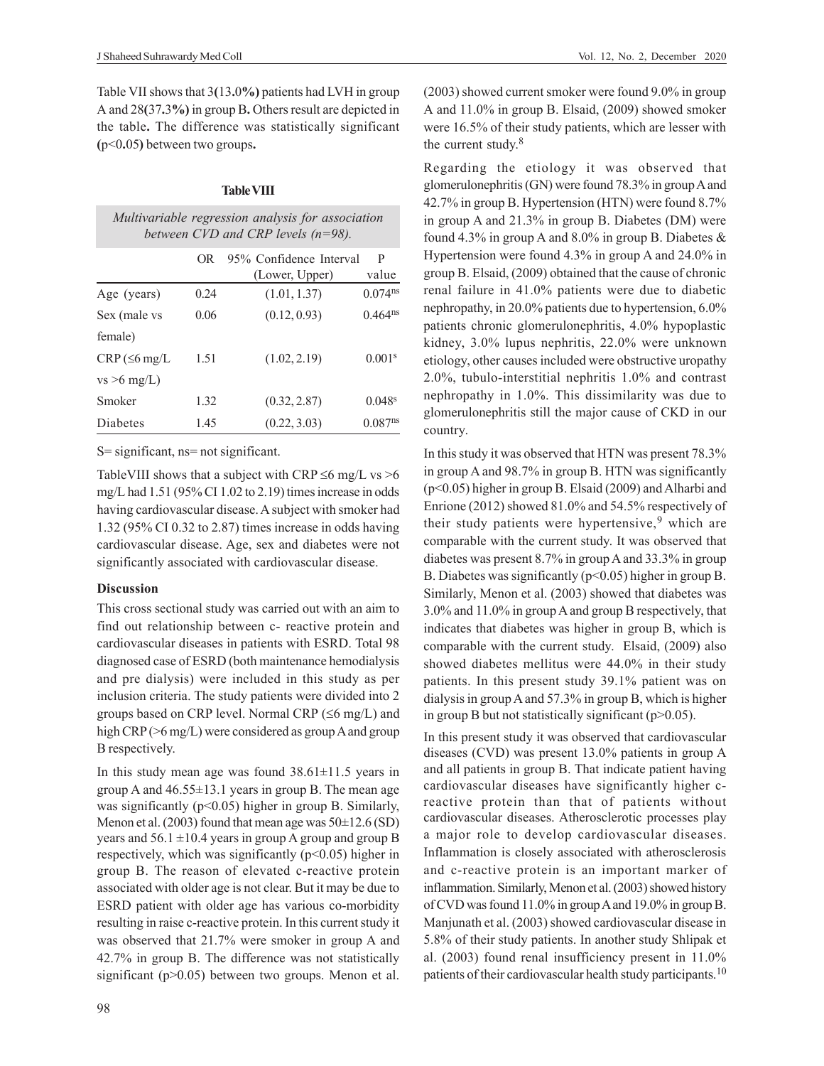Table VII shows that 3**(**13**.**0**%)** patients had LVH in group A and 28**(**37**.**3**%)** in group B**.** Others result are depicted in the table**.** The difference was statistically significant **(**p<0**.**05**)** between two groups**.**

#### **Table VIII**

|                    |      | Multivariable regression analysis for association<br>between $CVD$ and $CRP$ levels (n=98). |                       |
|--------------------|------|---------------------------------------------------------------------------------------------|-----------------------|
|                    | OR.  | 95% Confidence Interval<br>(Lower, Upper)                                                   | P<br>value            |
| Age (years)        | 0.24 | (1.01, 1.37)                                                                                | $0.074$ <sup>ns</sup> |
| Sex (male vs       | 0.06 | (0.12, 0.93)                                                                                | $0.464^{ns}$          |
| female)            |      |                                                                                             |                       |
| $CRP (\leq 6$ mg/L | 1.51 | (1.02, 2.19)                                                                                | 0.001 <sup>s</sup>    |
| $vs > 6$ mg/L)     |      |                                                                                             |                       |
| Smoker             | 1.32 | (0.32, 2.87)                                                                                | 0.048 <sup>s</sup>    |
| Diabetes           | 1.45 | (0.22, 3.03)                                                                                | 0.087 <sup>ns</sup>   |

S= significant, ns= not significant.

TableVIII shows that a subject with CRP  $\leq 6$  mg/L vs  $> 6$ mg/L had 1.51 (95% CI 1.02 to 2.19) times increase in odds having cardiovascular disease. A subject with smoker had 1.32 (95% CI 0.32 to 2.87) times increase in odds having cardiovascular disease. Age, sex and diabetes were not significantly associated with cardiovascular disease.

## **Discussion**

This cross sectional study was carried out with an aim to find out relationship between c- reactive protein and cardiovascular diseases in patients with ESRD. Total 98 diagnosed case of ESRD (both maintenance hemodialysis and pre dialysis) were included in this study as per inclusion criteria. The study patients were divided into 2 groups based on CRP level. Normal CRP ( $\leq 6$  mg/L) and high CRP ( $>6$  mg/L) were considered as group A and group B respectively.

In this study mean age was found  $38.61 \pm 11.5$  years in group A and  $46.55 \pm 13.1$  years in group B. The mean age was significantly ( $p$ <0.05) higher in group B. Similarly, Menon et al. (2003) found that mean age was  $50\pm12.6$  (SD) years and  $56.1 \pm 10.4$  years in group A group and group B respectively, which was significantly  $(p<0.05)$  higher in group B. The reason of elevated c-reactive protein associated with older age is not clear. But it may be due to ESRD patient with older age has various co-morbidity resulting in raise c-reactive protein. In this current study it was observed that 21.7% were smoker in group A and 42.7% in group B. The difference was not statistically significant (p>0.05) between two groups. Menon et al. (2003) showed current smoker were found 9.0% in group A and 11.0% in group B. Elsaid, (2009) showed smoker were 16.5% of their study patients, which are lesser with the current study.<sup>8</sup>

Regarding the etiology it was observed that glomerulonephritis (GN) were found 78.3% in group A and 42.7% in group B. Hypertension (HTN) were found 8.7% in group A and 21.3% in group B. Diabetes (DM) were found 4.3% in group A and 8.0% in group B. Diabetes & Hypertension were found 4.3% in group A and 24.0% in group B. Elsaid, (2009) obtained that the cause of chronic renal failure in 41.0% patients were due to diabetic nephropathy, in 20.0% patients due to hypertension, 6.0% patients chronic glomerulonephritis, 4.0% hypoplastic kidney, 3.0% lupus nephritis, 22.0% were unknown etiology, other causes included were obstructive uropathy 2.0%, tubulo-interstitial nephritis 1.0% and contrast nephropathy in 1.0%. This dissimilarity was due to glomerulonephritis still the major cause of CKD in our country.

In this study it was observed that HTN was present 78.3% in group A and 98.7% in group B. HTN was significantly (p<0.05) higher in group B. Elsaid (2009) and Alharbi and Enrione (2012) showed 81.0% and 54.5% respectively of their study patients were hypertensive,<sup>9</sup> which are comparable with the current study. It was observed that diabetes was present 8.7% in group A and 33.3% in group B. Diabetes was significantly ( $p<0.05$ ) higher in group B. Similarly, Menon et al. (2003) showed that diabetes was 3.0% and 11.0% in group A and group B respectively, that indicates that diabetes was higher in group B, which is comparable with the current study. Elsaid, (2009) also showed diabetes mellitus were 44.0% in their study patients. In this present study 39.1% patient was on dialysis in group A and 57.3% in group B, which is higher in group B but not statistically significant ( $p$  $>$ 0.05).

In this present study it was observed that cardiovascular diseases (CVD) was present 13.0% patients in group A and all patients in group B. That indicate patient having cardiovascular diseases have significantly higher creactive protein than that of patients without cardiovascular diseases. Atherosclerotic processes play a major role to develop cardiovascular diseases. Inflammation is closely associated with atherosclerosis and c-reactive protein is an important marker of inflammation. Similarly, Menon et al. (2003) showed history of CVD was found 11.0% in group A and 19.0% in group B. Manjunath et al. (2003) showed cardiovascular disease in 5.8% of their study patients. In another study Shlipak et al. (2003) found renal insufficiency present in 11.0% patients of their cardiovascular health study participants.<sup>10</sup>